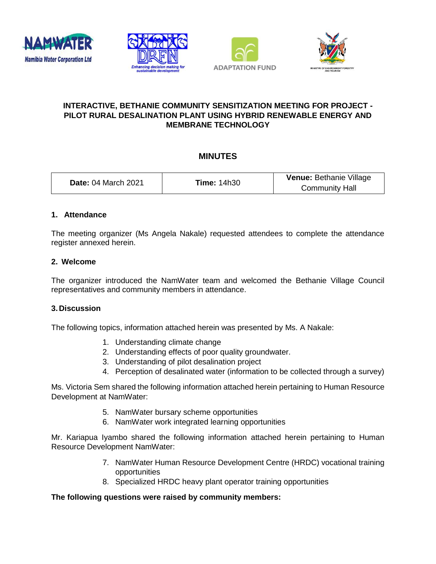







## **INTERACTIVE, BETHANIE COMMUNITY SENSITIZATION MEETING FOR PROJECT - PILOT RURAL DESALINATION PLANT USING HYBRID RENEWABLE ENERGY AND MEMBRANE TECHNOLOGY**

# **MINUTES**

| <b>Date: 04 March 2021</b> | <b>Time: 14h30</b> | <b>Venue: Bethanie Village</b> |
|----------------------------|--------------------|--------------------------------|
|                            |                    | <b>Community Hall</b>          |

### **1. Attendance**

The meeting organizer (Ms Angela Nakale) requested attendees to complete the attendance register annexed herein.

#### **2. Welcome**

The organizer introduced the NamWater team and welcomed the Bethanie Village Council representatives and community members in attendance.

#### **3. Discussion**

The following topics, information attached herein was presented by Ms. A Nakale:

- 1. Understanding climate change
- 2. Understanding effects of poor quality groundwater.
- 3. Understanding of pilot desalination project
- 4. Perception of desalinated water (information to be collected through a survey)

Ms. Victoria Sem shared the following information attached herein pertaining to Human Resource Development at NamWater:

- 5. NamWater bursary scheme opportunities
- 6. NamWater work integrated learning opportunities

Mr. Kariapua Iyambo shared the following information attached herein pertaining to Human Resource Development NamWater:

- 7. NamWater Human Resource Development Centre (HRDC) vocational training opportunities
- 8. Specialized HRDC heavy plant operator training opportunities

#### **The following questions were raised by community members:**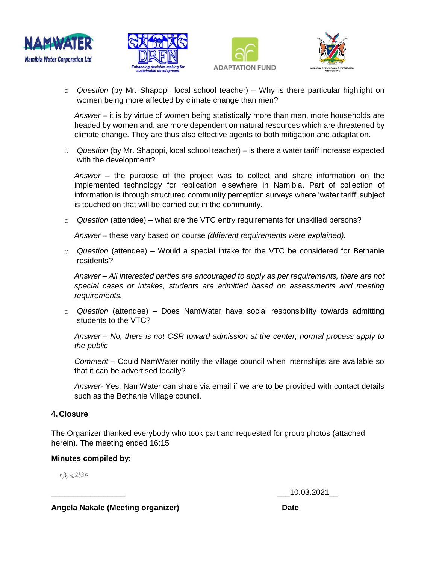







o *Question* (by Mr. Shapopi, local school teacher) – Why is there particular highlight on women being more affected by climate change than men?

*Answer –* it is by virtue of women being statistically more than men, more households are headed by women and, are more dependent on natural resources which are threatened by climate change. They are thus also effective agents to both mitigation and adaptation.

o *Question* (by Mr. Shapopi, local school teacher) – is there a water tariff increase expected with the development?

*Answer –* the purpose of the project was to collect and share information on the implemented technology for replication elsewhere in Namibia. Part of collection of information is through structured community perception surveys where 'water tariff' subject is touched on that will be carried out in the community.

o *Question* (attendee) – what are the VTC entry requirements for unskilled persons?

*Answer –* these vary based on course *(different requirements were explained).*

o *Question* (attendee) – Would a special intake for the VTC be considered for Bethanie residents?

*Answer – All interested parties are encouraged to apply as per requirements, there are not special cases or intakes, students are admitted based on assessments and meeting requirements.*

o *Question* (attendee) – Does NamWater have social responsibility towards admitting students to the VTC?

*Answer – No, there is not CSR toward admission at the center, normal process apply to the public*

*Comment –* Could NamWater notify the village council when internships are available so that it can be advertised locally?

*Answer-* Yes, NamWater can share via email if we are to be provided with contact details such as the Bethanie Village council.

### **4. Closure**

The Organizer thanked everybody who took part and requested for group photos (attached herein). The meeting ended 16:15

## **Minutes compiled by:**

Midler

 $\_$ 10.03.2021

**Angela Nakale (Meeting organizer) Date**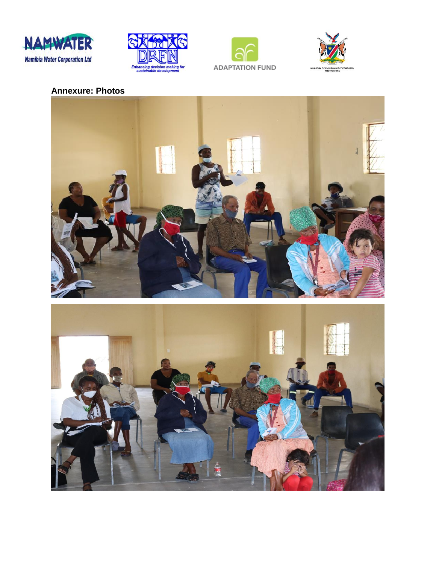







# **Annexure: Photos**



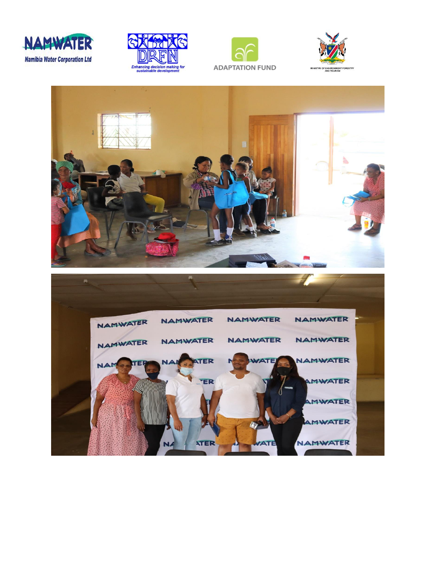